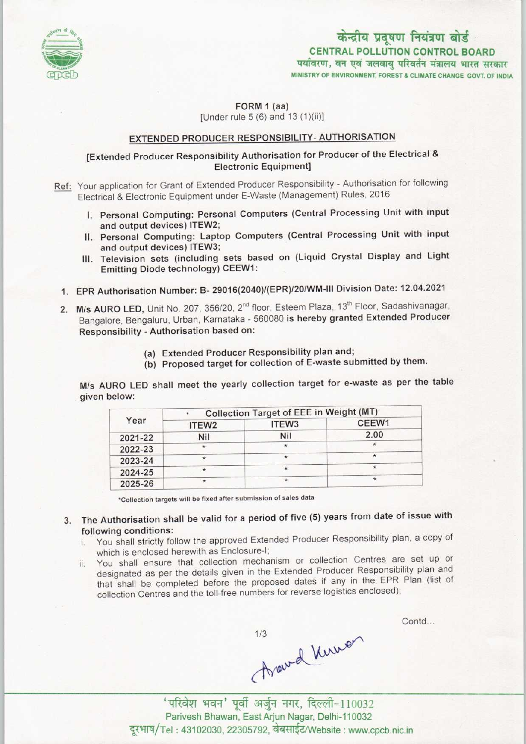

# केन्द्रीय प्रदूषण नियंत्रण बोर्ड CENTRAL POLLUTION CONTROL BOARD<br>पर्यावरण, वन एवं जलवायु परिवर्तन मंत्रालय भारत सरकार

MINISTRY OF ENVIRONMENT, FOREST S CLIMATE CHANGE GOVT. OF INDIA

FORM 1 (aa) [Under rule 5 (6) and 13 (1)(ii)]

### EXTENDED PRODUCER RESPONSIBILITY- AUTHORISATION

## [Extended Producer Responsibility Authorisation for Producer of the Electrical & Electronic Equipment]

Ref: Your application for Grant of Extended Producer Responsibility - Authorisation for following Electrical & Electronic Equipment under E-Waste (Management) Rules, 2016

- I. Personal Computing: Personal Computers (Central Processing Unit with input and output devices) ITEW2;
- II. Personal Computing: Laptop Computers (Central Processing Unit with input and output devices) ITEW3;
- III. Television sets (including sets based on (Liquid Crystal Display and Light Emitting Diode technology) CEEW1:
- 1.EPR Authorisation Number: B- 29016{2040)/(EPR)/20/WM-lll Division Date: 12.04.2021
- 2. M/s AURO LED, Unit No. 207, 356/20, 2<sup>nd</sup> floor, Esteem Plaza, 13<sup>th</sup> Floor, Sadashivanagar, Bangalore, Bengaluru, Urban, Karnataka - 560080 is hereby granted Extended Producer Responsibility - Authorisation based on:
	- (a)Extended Producer Responsibility plan and;
	- (b) Proposed target for collection of E-waste submitted by them.

M/s AURO LED shall meet the yearly collection target for e-waste as per the table given below:

| Year    | <b>Collection Target of EEE in Weight (MT)</b> |                   |       |
|---------|------------------------------------------------|-------------------|-------|
|         | ITEW <sub>2</sub>                              | ITEW <sub>3</sub> | CEEW1 |
| 2021-22 | <b>Nil</b>                                     | Nil               | 2.00  |
| 2022-23 | $\star$                                        | $^{\star}$        |       |
| 2023-24 |                                                | $\star$           |       |
| 2024-25 | $\star$                                        |                   | ⋇     |
| 2025-26 | $\star$                                        | $\star$           |       |

•Collection targets will be fixed aftersubmission of sales data

- 3. The Authorisation shall be valid for a period of five (5) years from date of issue with following conditions:
	- i. You shall strictly follow the approved Extended Producer Responsibility plan, a copy of which is enclosed herewith as Enclosure-I;
	- which is enclosed nerewith as Efficiosure-i,<br>ii. You shall ensure that collection mechanism or collection Centres are set up or designated as per the details given in the Extended Producer Responsibility plan and that shall be completed before the proposed dates if any in the EPR Plan (list of collection Centres and the toll-free numbers for reverse logistics enclosed);

( May 2 Muy 2 Muy 2 Muy 2 Muy 2 Muy 2 Muy 2 Muy 2 Muy 2 Muy 2 Muy 2 Muy 2 Muy 2 Muy 2 Muy 2 Muy 2 Muy 2 Muy 2 M<br>अपने अर्थ के पार, दिल्ली-110032

Contd...

Parivesh Bhawan, East Arjun Nagar, Delhi-110032 दूरभाष/Tel: 43102030, 22305792, वेबसाईट/Website: www.cpcb.nic.in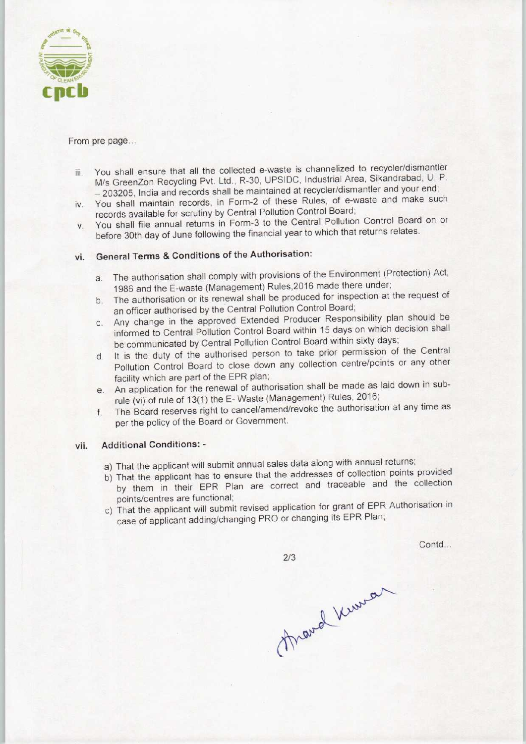

#### From pre page...

- iii. You shall ensure that all the collected e-waste is channelized to recycler/dismantler M/sGreenZon Recycling Pvt. Ltd., R-30, UPSIDC, Industrial Area, Sikandrabad, U. P. - 203205, India and records shall be maintained at recycler/dismantler and your end;
- iv. You shall maintain records, in Form-2 of these Rules, of e-waste and make such records available for scrutiny by Central Pollution Control Board;
- v. You shall file annual returns in Form-3 to the Central Pollution Control Board on or before 30th day of June following the financial year to which that returns relates.

# vi. General Terms & Conditions of the Authorisation:

- a.The authorisation shall comply with provisions of the Environment (Protection) Act, 1986 and the E-waste (Management) Rules,2016 made there under;
- b. The authorisation or its renewal shall be produced for inspection at the request of an officer authorised by the Central Pollution Control Board;
- c.Any change in the approved Extended Producer Responsibility plan should be informed to Central Pollution Control Board within 15 days on which decision shall be communicated by Central Pollution Control Board within sixty days;
- d.It is the duty of the authorised person to take prior permission of the Central Pollution Control Board to close down any collection centre/points or any other facility which are part of the EPR plan;
- e.An application for the renewal of authorisation shall be made aslaid down in subrule (vi) of rule of 13(1) the E-Waste (Management) Rules, 2016;
- f. The Board reserves right to cancel/amend/revoke the authorisation at any time as per the policy of the Board or Government.

#### vii. Additional Conditions: -

- a) That the applicant will submit annual sales data along with annual returns;
- b) That the applicant has to ensure that the addresses of collection points provided by them in their EPR Plan are correct and traceable and the collection points/centres are functional;
- c) That the applicant will submit revised application for grant of EPR Authorisation in case of applicant adding/changing PRO or changing its EPR Plan;

 $2/3$ 

Contd...

Mard Kerner